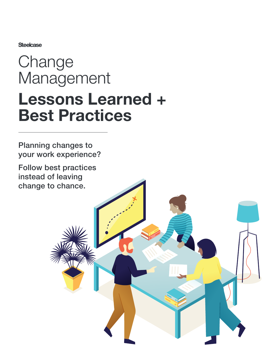**Steelcase** 

# Change Management Lessons Learned + Best Practices

Planning changes to your work experience?

Follow best practices instead of leaving change to chance.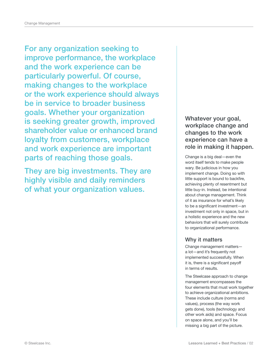For any organization seeking to improve performance, the workplace and the work experience can be particularly powerful. Of course, making changes to the workplace or the work experience should always be in service to broader business goals. Whether your organization is seeking greater growth, improved shareholder value or enhanced brand loyalty from customers, workplace and work experience are important parts of reaching those goals.

They are big investments. They are highly visible and daily reminders of what your organization values.

Whatever your goal, workplace change and changes to the work experience can have a role in making it happen.

Change is a big deal—even the word itself tends to make people wary. Be judicious in how you implement change. Doing so with little support is bound to backfire, achieving plenty of resentment but little buy-in. Instead, be intentional about change management. Think of it as insurance for what's likely to be a significant investment—an investment not only in space, but in a holistic experience and the new behaviors that will surely contribute to organizational performance.

### Why it matters

Change management matters a lot—and it's frequently not implemented successfully. When it is, there is a significant payoff in terms of results.

The Steelcase approach to change management encompasses the four elements that must work together to achieve organizational ambitions. These include culture (norms and values), process (the way work gets done), tools (technology and other work aids) and space. Focus on space alone, and you'll be missing a big part of the picture.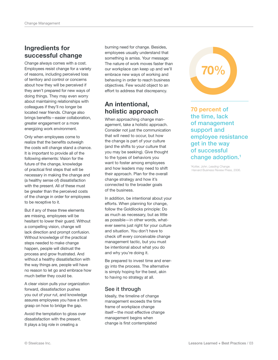### Ingredients for successful change

Change always comes with a cost. Employees resist change for a variety of reasons, including perceived loss of territory and control or concerns about how they will be perceived if they aren't prepared for new ways of doing things. They may even worry about maintaining relationships with colleagues if they'll no longer be located near friends. Change also brings benefits—easier collaboration, greater engagement or a more energizing work environment.

Only when employees come to realize that the benefits outweigh the costs will change stand a chance. It is important to provide all of the following elements: Vision for the future of the change, knowledge of practical first steps that will be necessary in making the change and (a healthy sense of) dissatisfaction with the present. All of these must be greater than the perceived costs of the change in order for employees to be receptive to it.

But if any of these three elements are missing, employees will be hesitant to lower their guard. Without a compelling vision, change will lack direction and prompt confusion. Without knowledge of the practical steps needed to make change happen, people will distrust the process and grow frustrated. And without a healthy dissatisfaction with the way things are, people will have no reason to let go and embrace how much better they could be.

A clear vision pulls your organization forward, dissatisfaction pushes you out of your rut, and knowledge assures employees you have a firm grasp on how to bridge the gap.

Avoid the temptation to gloss over dissatisfaction with the present. It plays a big role in creating a

burning need for change. Besides, employees usually understand that something is amiss. Your message: The nature of work moves faster than our workplace can keep up and we'll embrace new ways of working and behaving in order to reach business objectives. Few would object to an effort to address that discrepancy.

### An intentional, holistic approach

When approaching change management, take a holistic approach. Consider not just the communication that will need to occur, but how the change is part of your culture (and the shifts to your culture that you may be seeking). Give thought to the types of behaviors you want to foster among employees and how leaders may need to shift their approach. Plan for the overall change strategy and how it's connected to the broader goals of the business.

In addition, be intentional about your efforts. When planning for change, follow the Goldilocks principle: Do as much as necessary, but as little as possible—in other words, whatever seems just right for your culture and situation. You don't have to check off every conceivable change management tactic, but you must be intentional about what you do and why you're doing it.

Be prepared to invest time and energy into the process. The alternative is simply hoping for the best, akin to having no strategy at all.

### See it through

Ideally, the timeline of change management exceeds the time frame of workplace change itself—the most effective change management begins when change is first contemplated



70 percent of the time, lack of management support and employee resistance get in the way of successful change adoption.1

<sup>1</sup>Kotter, John. Leading Change. Harvard Business Review Press, 2006.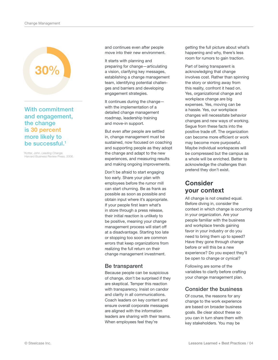

With commitment and engagement, the change is 30 percent more likely to be successful.<sup>1</sup>

<sup>1</sup>Kotter, John. Leading Change. Harvard Business Review Press, 2006. and continues even after people move into their new environment.

It starts with planning and preparing for change—articulating a vision, clarifying key messages, establishing a change management team, identifying potential challenges and barriers and developing engagement strategies.

It continues during the change with the implementation of a detailed change management roadmap, leadership training and move-in support.

But even after people are settled in, change management must be sustained, now focused on coaching and supporting people as they adopt the change and adapt to the new experiences, and measuring results and making ongoing improvements.

Don't be afraid to start engaging too early. Share your plan with employees before the rumor mill can start churning. Be as frank as possible as soon as possible and obtain input where it's appropriate. If your people first learn what's in store through a press release, their initial reaction is unlikely to be positive, meaning your change management process will start off at a disadvantage. Starting too late or stopping too soon are common errors that keep organizations from realizing the full return on their change management investment.

### Be transparent

Because people can be suspicious of change, don't be surprised if they are skeptical. Temper this reaction with transparency. Insist on candor and clarity in all communications. Coach leaders on key content and ensure overall corporate messages are aligned with the information leaders are sharing with their teams. When employees feel they're

getting the full picture about what's happening and why, there's less room for rumors to gain traction.

Part of being transparent is acknowledging that change involves cost. Rather than spinning the story or skirting away from this reality, confront it head on. Yes, organizational change and workplace change are big expenses. Yes, moving can be a hassle. Yes, our workplace changes will necessitate behavior changes and new ways of working. Segue from these facts into the positive trade off. The organization can become more efficient or work may become more purposeful. Maybe individual workspaces will be compressed but the campus as a whole will be enriched. Better to acknowledge the challenges than pretend they don't exist.

### Consider your context

All change is not created equal. Before diving in, consider the context in which change is occurring in your organization. Are your people familiar with the business and workplace trends gaining favor in your industry or do you need to bring them up to speed? Have they gone through change before or will this be a new experience? Do you expect they'll be open to change or cynical?

Following are some of the variables to clarify before crafting your change management plan.

### Consider the business

Of course, the reasons for any change to the work experience are based on broader business goals. Be clear about these so you can in turn share them with key stakeholders. You may be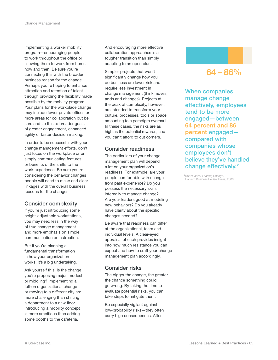implementing a worker mobility program—encouraging people to work throughout the office or allowing them to work from home now and then. Be sure you're connecting this with the broader business reason for the change. Perhaps you're hoping to enhance attraction and retention of talent through providing the flexibility made possible by the mobility program. Your plans for the workplace change may include fewer private offices or more areas for collaboration but be sure and tie this to broader goals of greater engagement, enhanced agility or faster decision making.

In order to be successful with your change management efforts, don't just focus on the workplace or on simply communicating features or benefits of the shifts to the work experience. Be sure you're considering the behavior changes people will need to make and clear linkages with the overall business reasons for the changes.

### Consider complexity

If you're just introducing some height-adjustable workstations, you may need less in the way of true change management and more emphasis on simple communication or instruction.

But if you're planning a fundamental transformation in how your organization works, it's a big undertaking.

Ask yourself this: Is the change you're proposing major, modest or middling? Implementing a full-on organizational change or moving to a different city are more challenging than shifting a department to a new floor. Introducing a mobility concept is more ambitious than adding some booths to the cafeteria.

And encouraging more effective collaboration approaches is a tougher transition than simply adapting to an open plan.

Simpler projects that won't significantly change how you do business are lower risk and require less investment in change management (think moves, adds and changes). Projects at the peak of complexity, however, are intended to transform your culture, processes, tools or space amounting to a paradigm overhaul. In these cases, the risks are as high as the potential rewards, and you can't afford to cut corners.

### Consider readiness

The particulars of your change management plan will depend a lot on your organization's readiness. For example, are your people comfortable with change from past experience? Do you possess the necessary skills internally to manage change? Are your leaders good at modeling new behaviors? Do you already have clarity about the specific changes needed?

Be aware that readiness can differ at the organizational, team and individual levels. A clear-eyed appraisal of each provides insight into how much resistance you can expect and how to craft your change management plan accordingly.

### Consider risks

The bigger the change, the greater the chance something could go wrong. By taking the time to evaluate potential risks, you can take steps to mitigate them.

Be especially vigilant against low-probability risks—they often carry high consequences. After

### 64 – 86%

When companies manage change effectively, employees tend to be more engaged—between 64 percent and 86 percent engaged compared with companies whose employees don't believe they've handled change effectively.<sup>2</sup>

<sup>2</sup>Kotter, John. Leading Change. Harvard Business Review Press, 2006.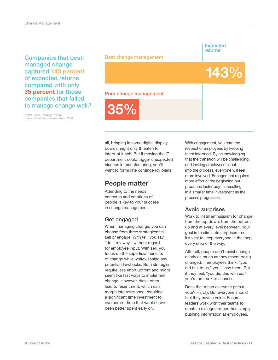Companies that bestmanaged change captured 143 percent of expected returns compared with only 35 percent for those companies that failed to manage change well.<sup>3</sup>

<sup>3</sup>Kotter, John. Leading Change. Harvard Business Review Press, 2006. Best change management

Expected returns

143%

#### Poor change management

35%

all, bringing in some digital display boards might only threaten to interrupt lunch. But if moving the IT department could trigger unexpected hiccups in manufacturing, you'll want to formulate contingency plans.

### People matter

Attending to the needs, concerns and emotions of people is key to your success in change management.

### Get engaged

When managing change, you can choose from three strategies: tell, sell or engage. With tell, you say, "do it my way," without regard for employee input. With sell, you focus on the superficial benefits of change while whitewashing any potential drawbacks. Both strategies require less effort upfront and might seem like fast ways to implement change. However, these often lead to resentment, which can morph into resistance, requiring a significant time investment to overcome—time that would have been better spent early on.

With engagement, you earn the respect of employees by keeping them informed. By acknowledging that the transition will be challenging, and inviting employees' input into the process, everyone will feel more involved. Engagement requires more effort at the beginning but produces faster buy-in, resulting in a smaller time investment as the process progresses.

### Avoid surprises

Work to instill enthusiasm for change from the top down, from the bottom up and at every level between. Your goal is to eliminate surprises—so it's vital to keep everyone in the loop every step of the way.

After all, people don't resist change nearly as much as they resent being changed. If employees think, "you did this to us," you'll lose them. But if they feel, "you did this with us," you're on track to success.

Does that mean everyone gets a vote? Hardly. But everyone should feel they have a voice. Ensure leaders work with their teams to create a dialogue rather than simply pushing information at employees.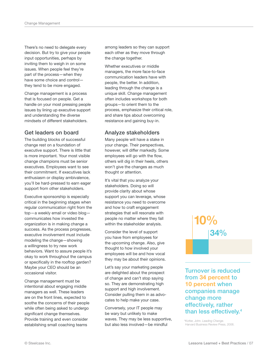There's no need to delegate every decision. But try to give your people input opportunities, perhaps by inviting them to weigh in on some issues. When people feel they're part of the process—when they have some choice and control they tend to be more engaged.

Change management is a process that is focused on people. Get a handle on your most pressing people issues by lining up executive support and understanding the diverse mindsets of different stakeholders.

### Get leaders on board

The building blocks of successful change rest on a foundation of executive support. There is little that is more important. Your most visible change champions must be senior executives. Employees want to see their commitment. If executives lack enthusiasm or display ambivalence, you'll be hard-pressed to earn eager support from other stakeholders.

Executive sponsorship is especially critical in the beginning stages when regular communication right from the top—a weekly email or video blog communicates how invested the organization is in making change a success. As the process progresses, executive involvement must include modeling the change—showing a willingness to try new work behaviors. Want to assure people it's okay to work throughout the campus or specifically in the rooftop garden? Maybe your CEO should be an occasional visitor.

Change management must be intentional about engaging middle managers as well. These leaders are on the front lines, expected to soothe the concerns of their people while often being asked to undergo significant change themselves. Provide training and even consider establishing small coaching teams

among leaders so they can support each other as they move through the change together.

Whether executives or middle managers, the more face-to-face communication leaders have with people, the better. In addition, leading through the change is a unique skill. Change management often includes workshops for both groups—to orient them to the process, emphasize their critical role, and share tips about overcoming resistance and gaining buy-in.

### Analyze stakeholders

Many people will have a stake in your change. Their perspectives, however, will differ markedly. Some employees will go with the flow, others will dig in their heels, others won't give the changes as much thought or attention.

It's vital that you analyze your stakeholders. Doing so will provide clarity about whose support you can leverage, whose resistance you need to overcome and how to craft engagement strategies that will resonate with people no matter where they fall within the stakeholder analysis.

Consider the level of support you have from employees for the upcoming change. Also, give thought to how involved your employees will be and how vocal they may be about their opinions.

Let's say your marketing people are delighted about the prospect of change and can't stop saying so. They are demonstrating high support and high involvement. Consider pulling them in as advocates to help make your case.

Conversely, your IT people may be wary but unlikely to make waves. They may be less supportive, but also less involved—be mindful

## 34% 10%

Turnover is reduced from 34 percent to 10 percent when companies manage change more effectively, rather than less effectively.<sup>4</sup>

4 Kotter, John. Leading Change. Harvard Business Review Press, 2006.